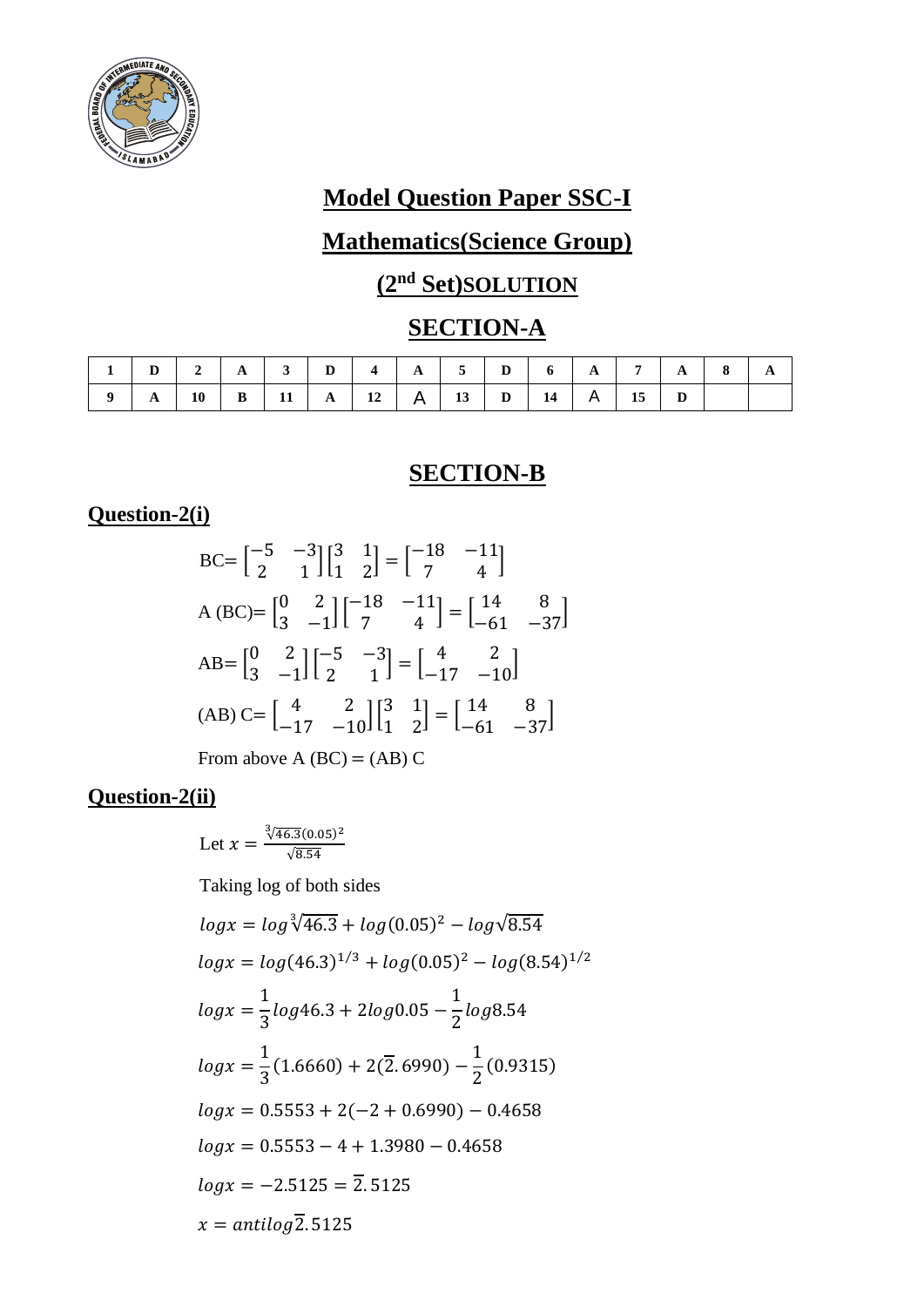

# **Model Question Paper SSC-I**

# **Mathematics(Science Group)**

# **(2nd Set)SOLUTION**

# **SECTION-A**

| $1$   D   2   A   3   D   4   A   5   D   6   A   7   A   8   A |  |  |  |  |  |  |  |
|-----------------------------------------------------------------|--|--|--|--|--|--|--|
|                                                                 |  |  |  |  |  |  |  |

#### **SECTION-B**

#### **Question-2(i)**

BC=
$$
\begin{bmatrix} -5 & -3 \\ 2 & 1 \end{bmatrix}\begin{bmatrix} 3 & 1 \\ 1 & 2 \end{bmatrix} = \begin{bmatrix} -18 & -11 \\ 7 & 4 \end{bmatrix}
$$
  
\nA (BC)= $\begin{bmatrix} 0 & 2 \\ 3 & -1 \end{bmatrix}\begin{bmatrix} -18 & -11 \\ 7 & 4 \end{bmatrix} = \begin{bmatrix} 14 & 8 \\ -61 & -37 \end{bmatrix}$   
\nAB= $\begin{bmatrix} 0 & 2 \\ 3 & -1 \end{bmatrix}\begin{bmatrix} -5 & -3 \\ 2 & 1 \end{bmatrix} = \begin{bmatrix} 4 & 2 \\ -17 & -10 \end{bmatrix}$   
\n(AB) C= $\begin{bmatrix} 4 & 2 \\ -17 & -10 \end{bmatrix}\begin{bmatrix} 3 & 1 \\ 1 & 2 \end{bmatrix} = \begin{bmatrix} 14 & 8 \\ -61 & -37 \end{bmatrix}$ 

From above A  $(BC) = (AB) C$ 

### **Question-2(ii)**

Let 
$$
x = \frac{\sqrt[3]{46.3}(0.05)^2}{\sqrt{8.54}}
$$

Taking log of both sides

$$
log x = log \sqrt[3]{46.3} + log(0.05)^{2} - log\sqrt{8.54}
$$
  
\n
$$
log x = log(46.3)^{1/3} + log(0.05)^{2} - log(8.54)^{1/2}
$$
  
\n
$$
log x = \frac{1}{3} log 46.3 + 2 log 0.05 - \frac{1}{2} log 8.54
$$
  
\n
$$
log x = \frac{1}{3} (1.6660) + 2(\overline{2}.6990) - \frac{1}{2} (0.9315)
$$
  
\n
$$
log x = 0.5553 + 2(-2 + 0.6990) - 0.4658
$$
  
\n
$$
log x = 0.5553 - 4 + 1.3980 - 0.4658
$$
  
\n
$$
log x = -2.5125 = \overline{2}.5125
$$
  
\n
$$
x = antilog \overline{2}.5125
$$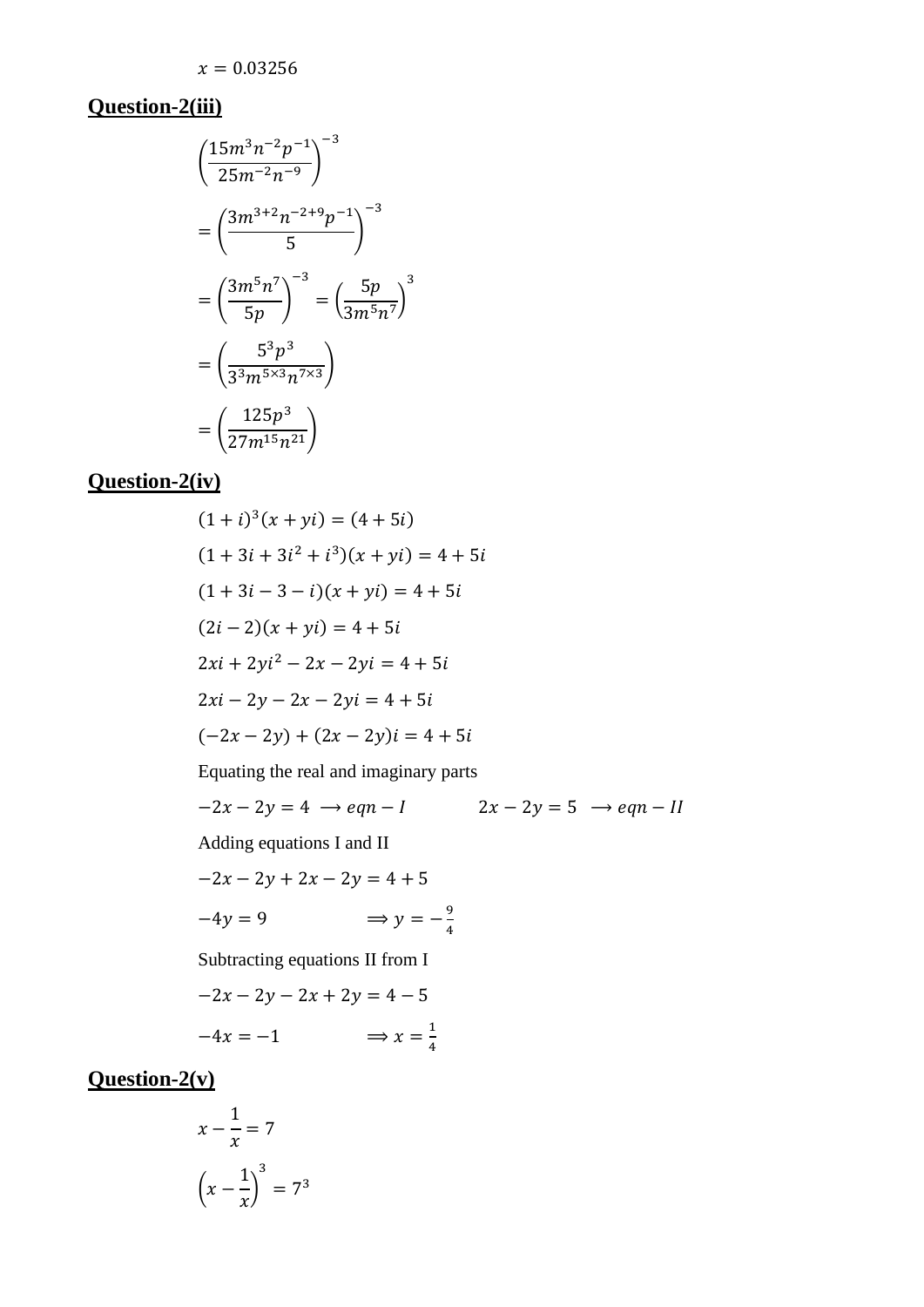# **Question-2(iii)**

$$
\left(\frac{15m^3n^{-2}p^{-1}}{25m^{-2}n^{-9}}\right)^{-3}
$$

$$
= \left(\frac{3m^{3+2}n^{-2+9}p^{-1}}{5}\right)^{-3}
$$

$$
= \left(\frac{3m^5n^7}{5p}\right)^{-3} = \left(\frac{5p}{3m^5n^7}\right)^{3}
$$

$$
= \left(\frac{5^3p^3}{3^3m^{5\times 3}n^{7\times 3}}\right)
$$

$$
= \left(\frac{125p^3}{27m^{15}n^{21}}\right)
$$

### **Question-2(iv)**

$$
(1 + i)^3(x + yi) = (4 + 5i)
$$
  
\n
$$
(1 + 3i + 3i^2 + i^3)(x + yi) = 4 + 5i
$$
  
\n
$$
(1 + 3i - 3 - i)(x + yi) = 4 + 5i
$$
  
\n
$$
(2i - 2)(x + yi) = 4 + 5i
$$
  
\n
$$
2xi + 2yi^2 - 2x - 2yi = 4 + 5i
$$
  
\n
$$
2xi - 2y - 2x - 2yi = 4 + 5i
$$
  
\n
$$
(-2x - 2y) + (2x - 2y)i = 4 + 5i
$$
  
\nEquating the real and imaginary parts  
\n
$$
-2x - 2y = 4 \rightarrow eqn - 1
$$
  
\nAdding equations I and II  
\n
$$
-2x - 2y + 2x - 2y = 4 + 5
$$
  
\n
$$
-4y = 9 \qquad \Rightarrow y = -\frac{9}{4}
$$
  
\nSubtracting equations II from I  
\n
$$
-2x - 2y - 2x + 2y = 4 - 5
$$
  
\n
$$
-4x = -1 \qquad \Rightarrow x = \frac{1}{4}
$$

# **Question-2(v)**

$$
x - \frac{1}{x} = 7
$$

$$
\left(x - \frac{1}{x}\right)^3 = 7^3
$$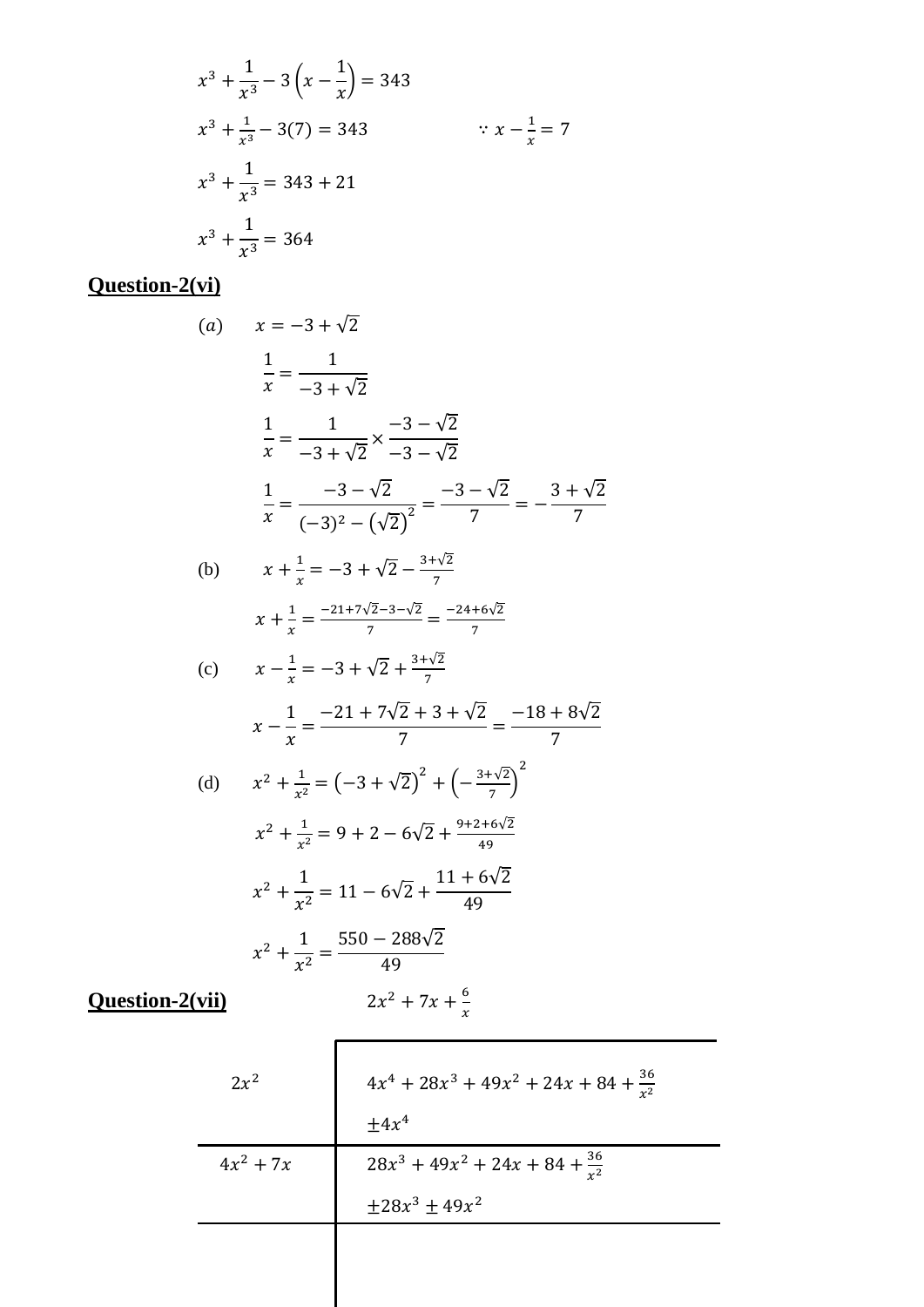$$
x^{3} + \frac{1}{x^{3}} - 3\left(x - \frac{1}{x}\right) = 343
$$
  
\n
$$
x^{3} + \frac{1}{x^{3}} - 3(7) = 343 \qquad \qquad \because x - \frac{1}{x} = 7
$$
  
\n
$$
x^{3} + \frac{1}{x^{3}} = 343 + 21
$$
  
\n
$$
x^{3} + \frac{1}{x^{3}} = 364
$$

# **Question-2(vi)**

(a) 
$$
x = -3 + \sqrt{2}
$$
  
\n $\frac{1}{x} = \frac{1}{-3 + \sqrt{2}}$   
\n $\frac{1}{x} = \frac{1}{-3 + \sqrt{2}} \times \frac{-3 - \sqrt{2}}{-3 - \sqrt{2}}$   
\n $\frac{1}{x} = \frac{-3 - \sqrt{2}}{(-3)^2 - (\sqrt{2})^2} = \frac{-3 - \sqrt{2}}{7} = -\frac{3 + \sqrt{2}}{7}$   
\n(b)  $x + \frac{1}{x} = -3 + \sqrt{2} - \frac{3 + \sqrt{2}}{7}$   
\n $x + \frac{1}{x} = \frac{-21 + 7\sqrt{2} - 3 - \sqrt{2}}{7} = \frac{-24 + 6\sqrt{2}}{7}$   
\n(c)  $x - \frac{1}{x} = -3 + \sqrt{2} + \frac{3 + \sqrt{2}}{7}$   
\n $x - \frac{1}{x} = \frac{-21 + 7\sqrt{2} + 3 + \sqrt{2}}{7} = \frac{-18 + 8\sqrt{2}}{7}$   
\n(d)  $x^2 + \frac{1}{x^2} = (-3 + \sqrt{2})^2 + (-\frac{3 + \sqrt{2}}{7})^2$   
\n $x^2 + \frac{1}{x^2} = 9 + 2 - 6\sqrt{2} + \frac{9 + 2 + 6\sqrt{2}}{49}$   
\n $x^2 + \frac{1}{x^2} = 11 - 6\sqrt{2} + \frac{11 + 6\sqrt{2}}{49}$   
\n $x^2 + \frac{1}{x^2} = \frac{550 - 288\sqrt{2}}{49}$ 

**Question-2(vii)** 2

$$
x^2 + 7x + \frac{6}{x}
$$

$$
2x^{2}
$$
\n
$$
4x^{4} + 28x^{3} + 49x^{2} + 24x + 84 + \frac{36}{x^{2}}
$$
\n
$$
4x^{2} + 7x
$$
\n
$$
28x^{3} + 49x^{2} + 24x + 84 + \frac{36}{x^{2}}
$$
\n
$$
\pm 28x^{3} \pm 49x^{2}
$$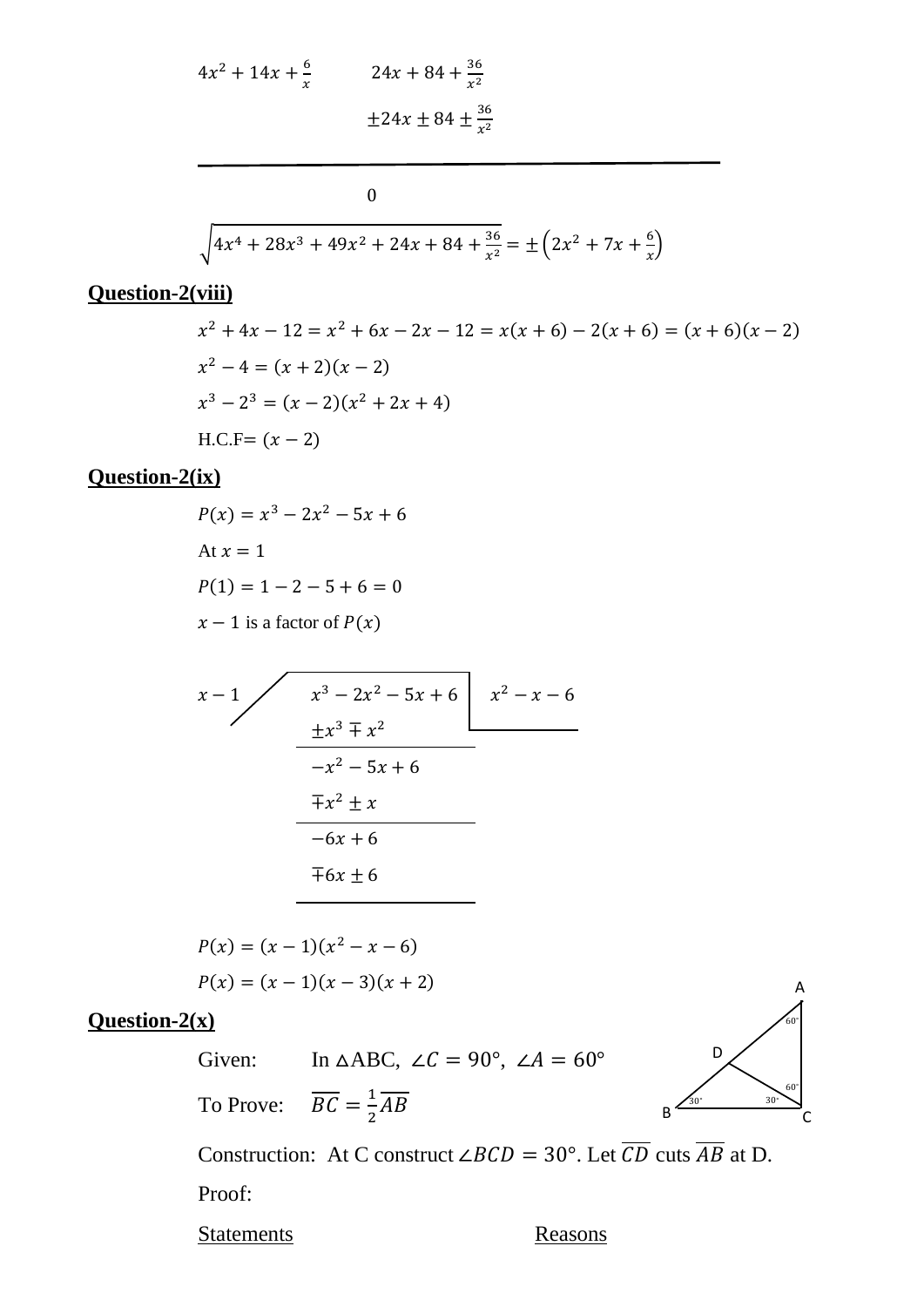$$
4x^{2} + 14x + \frac{6}{x}
$$
  
24x + 84 +  $\frac{36}{x^{2}}$   

$$
\pm 24x \pm 84 \pm \frac{36}{x^{2}}
$$

0

$$
\sqrt{4x^4 + 28x^3 + 49x^2 + 24x + 84 + \frac{36}{x^2}} = \pm \left(2x^2 + 7x + \frac{6}{x}\right)
$$

### **Question-2(viii)**

$$
x^{2} + 4x - 12 = x^{2} + 6x - 2x - 12 = x(x + 6) - 2(x + 6) = (x + 6)(x - 2)
$$
  
\n
$$
x^{2} - 4 = (x + 2)(x - 2)
$$
  
\n
$$
x^{3} - 2^{3} = (x - 2)(x^{2} + 2x + 4)
$$
  
\nH.C.F = (x - 2)

#### **Question-2(ix)**

 $P(x) = x^3 - 2x^2 - 5x + 6$ At  $x = 1$  $P(1) = 1 - 2 - 5 + 6 = 0$  $x - 1$  is a factor of  $P(x)$ 

$$
\begin{array}{r}\nx - 1 \\
x^3 - 2x^2 - 5x + 6 \\
\underline{+x^3 \mp x^2} \\
-x^2 - 5x + 6 \\
\overline{+x^2 \pm x} \\
-6x + 6 \\
\overline{+6x \pm 6}\n\end{array}
$$
\nx^2 - x - 6

$$
P(x) = (x - 1)(x2 - x - 6)
$$
  
 
$$
P(x) = (x - 1)(x - 3)(x + 2)
$$

### **Question-2(x)**

Given: In  $\triangle ABC$ ,  $\angle C = 90^{\circ}$ ,  $\angle A = 60^{\circ}$ 

To Prove: 1  $rac{1}{2}AB$ 



Construction: At C construct ∠*BCD* = 30°. Let  $\overline{CD}$  cuts  $\overline{AB}$  at D.

Proof:

Statements Reasons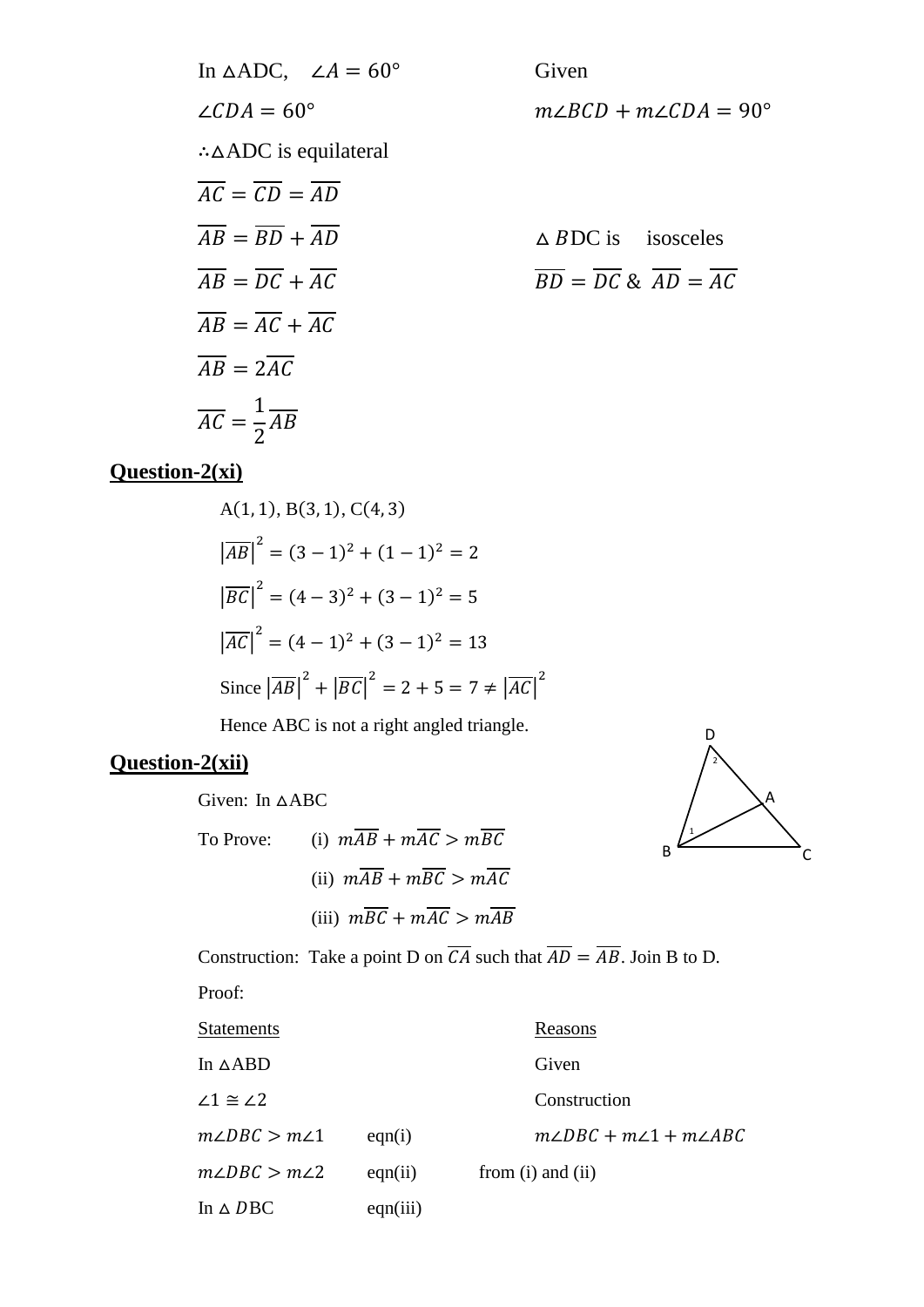In 
$$
\triangle ADC
$$
,  $\angle A = 60^{\circ}$  Given  
\n $\angle CDA = 60^{\circ}$   $m\angle BCD + m\angle CDA =$   
\n $\therefore \triangle ADC$  is equilateral  
\n $\overline{AC} = \overline{CD} = \overline{AD}$   
\n $\overline{AB} = \overline{BD} + \overline{AD}$   $\triangle BDC$  is isosceles  
\n $\overline{AB} = \overline{DC} + \overline{AC}$   
\n $\overline{AB} = \overline{AC} + \overline{AC}$   
\n $\overline{AB} = 2\overline{AC}$   
\n $\overline{AC} = \frac{1}{2}\overline{AB}$ 

Given  $m\angle BCD + m\angle CDA = 90^{\circ}$ 

$$
\Delta BDC \text{ is isosceles}
$$
  

$$
\overline{BD} = \overline{DC} \& \overline{AD} = \overline{AC}
$$

### **Question-2(xi)**

A(1, 1), B(3, 1), C(4, 3)  
\n
$$
|\overline{AB}|^2 = (3 - 1)^2 + (1 - 1)^2 = 2
$$
\n
$$
|\overline{BC}|^2 = (4 - 3)^2 + (3 - 1)^2 = 5
$$
\n
$$
|\overline{AC}|^2 = (4 - 1)^2 + (3 - 1)^2 = 13
$$
\nSince  $|\overline{AB}|^2 + |\overline{BC}|^2 = 2 + 5 = 7 \neq |\overline{AC}|^2$ 

Hence ABC is not a right angled triangle.

### **Question-2(xii)**

Given: In ∆ABC

To Prove: (i)  $m\overline{AB} + m\overline{AC} > m\overline{BC}$ (ii)  $m\overline{AB} + m\overline{BC} > m\overline{AC}$ (iii)  $m\overline{BC} + m\overline{AC} > m\overline{AB}$ 



Construction: Take a point D on  $\overline{CA}$  such that  $\overline{AD} = \overline{AB}$ . Join B to D.

Proof:

| Statements                |          | Reasons                                 |
|---------------------------|----------|-----------------------------------------|
| In ∆ABD                   |          | Given                                   |
| $\angle 1 \cong \angle 2$ |          | Construction                            |
| m∠DBC > m∠1               | eqn(i)   | $m\angle DBC + m\angle 1 + m\angle ABC$ |
| $m\angle DBC > m\angle 2$ | eqn(ii)  | from $(i)$ and $(ii)$                   |
| In $\triangle$ DBC        | eqn(iii) |                                         |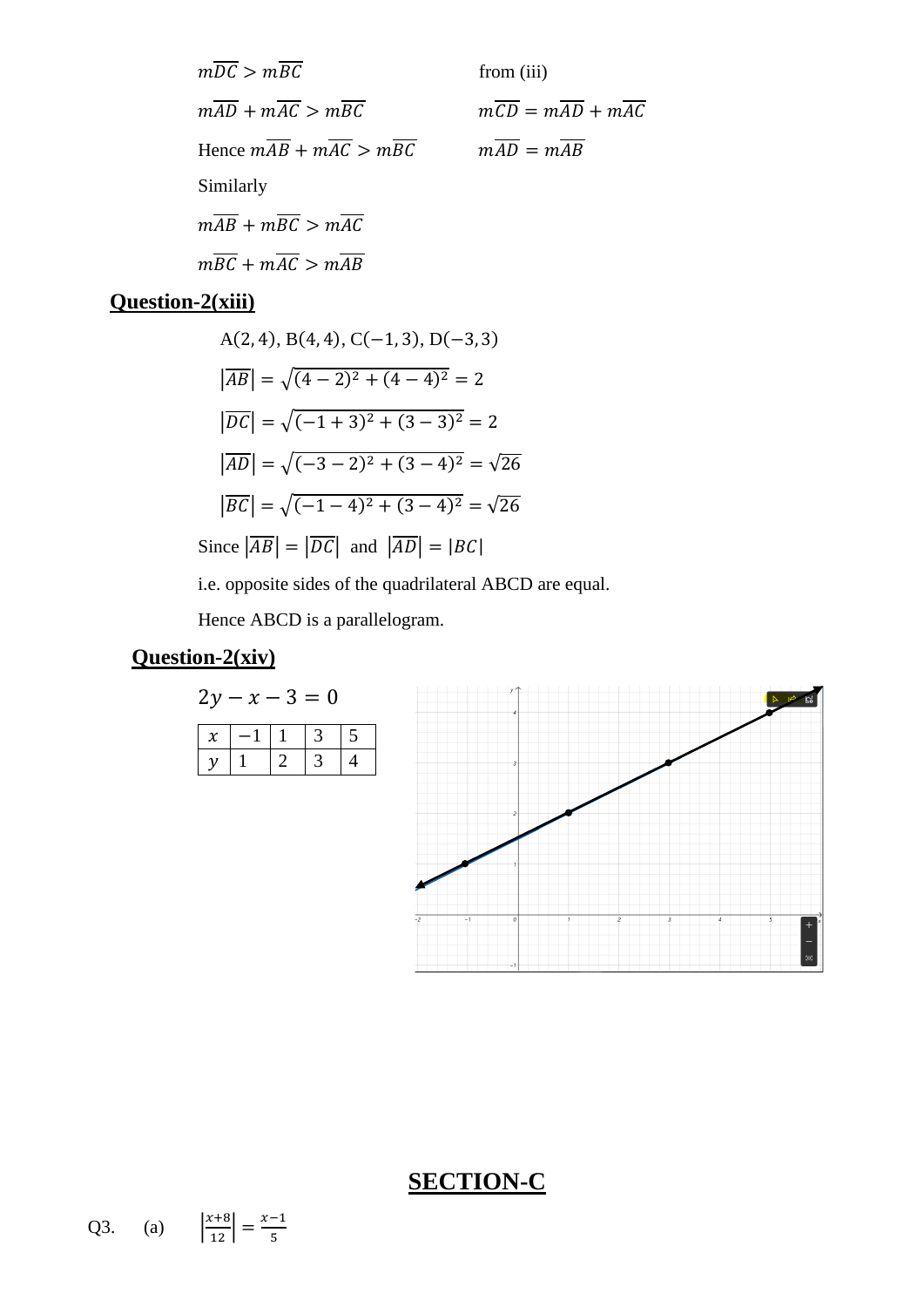$$
m\overline{DC} > m\overline{BC}
$$
 from (iii)  
\n
$$
m\overline{AD} + m\overline{AC} > m\overline{BC}
$$
 from (iii)  
\nHence 
$$
m\overline{AB} + m\overline{AC} > m\overline{BC}
$$
 
$$
m\overline{AD} = m\overline{AB}
$$
  
\nSimilarly  
\n
$$
m\overline{AB} + m\overline{BC} > m\overline{AC}
$$
  
\n
$$
m\overline{BC} + m\overline{AC} > m\overline{AB}
$$

# **Question-2(xiii)**

A(2, 4), B(4, 4), C(-1, 3), D(-3, 3)  
\n
$$
|\overline{AB}| = \sqrt{(4-2)^2 + (4-4)^2} = 2
$$
\n
$$
|\overline{DC}| = \sqrt{(-1+3)^2 + (3-3)^2} = 2
$$
\n
$$
|\overline{AD}| = \sqrt{(-3-2)^2 + (3-4)^2} = \sqrt{26}
$$
\n
$$
|\overline{BC}| = \sqrt{(-1-4)^2 + (3-4)^2} = \sqrt{26}
$$
\nSince  $|\overline{AB}| = |\overline{DC}|$  and  $|\overline{AD}| = |BC|$ 

i.e. opposite sides of the quadrilateral ABCD are equal.

Hence ABCD is a parallelogram.

### **Question-2(xiv)**

$$
2y - x - 3 = 0
$$

#### **SECTION-C**

Q3. (a) 
$$
\left| \frac{x+8}{12} \right| = \frac{x-1}{5}
$$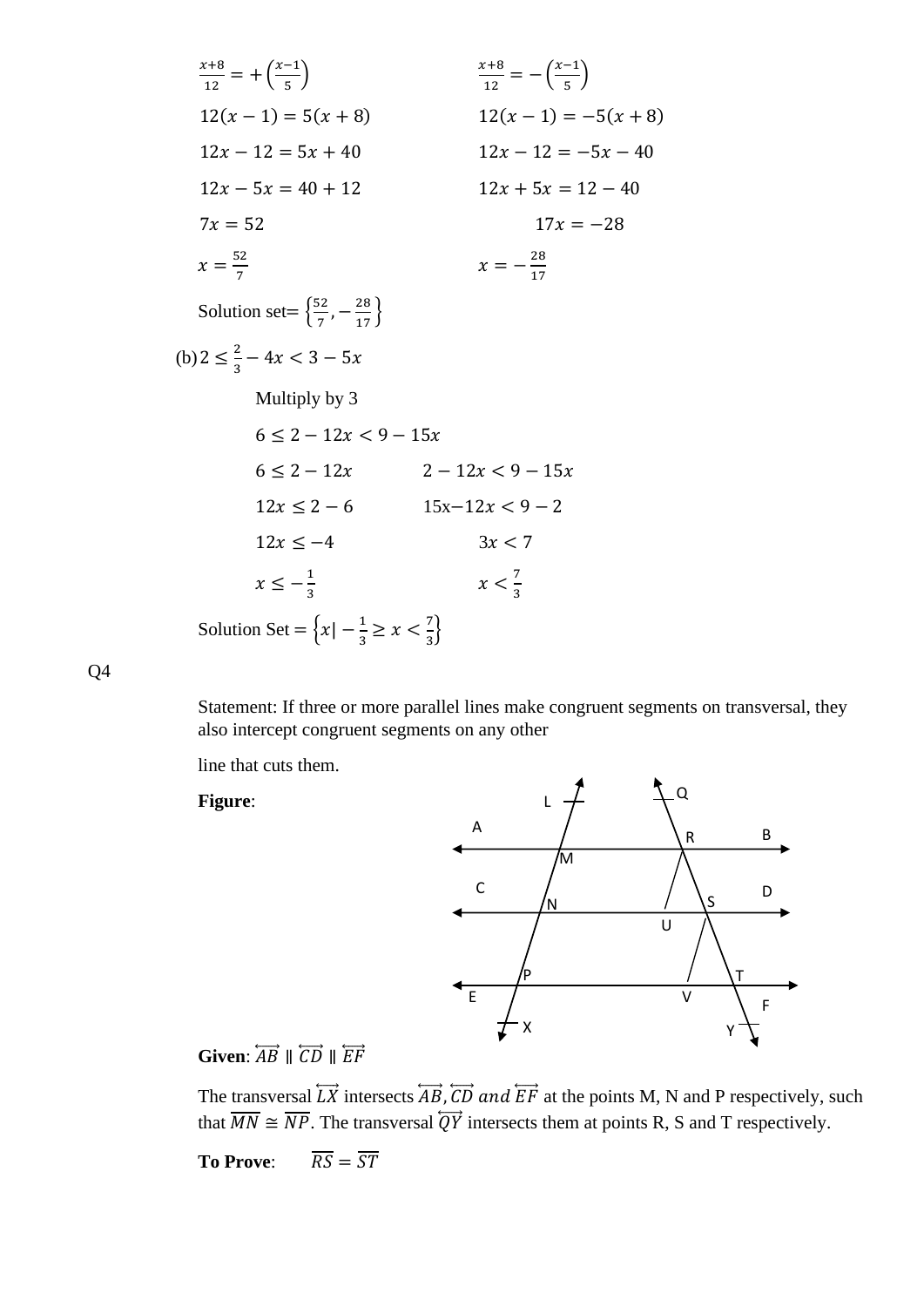$$
\frac{x+8}{12} = +(\frac{x-1}{5})
$$
  
\n
$$
12(x-1) = 5(x+8)
$$
  
\n
$$
12x - 12 = 5x + 40
$$
  
\n
$$
12x - 5x = 40 + 12
$$
  
\n
$$
7x = 52
$$
  
\n
$$
x = \frac{52}{7}
$$
  
\nSolution set = { $\frac{52}{7}$ ,  $-\frac{28}{17}$ }  
\n(b)  $2 \le \frac{2}{3} - 4x < 3 - 5x$   
\nMultiply by 3  
\n
$$
6 \le 2 - 12x < 9 - 15x
$$
  
\n
$$
12x \le 2 - 6
$$
  
\n
$$
12x + 5x = 12 - 40
$$
  
\n
$$
x = -\frac{28}{17}
$$
  
\n
$$
6 \le 2 - 12x < 9 - 15x
$$
  
\n
$$
12x \le 2 - 6
$$
  
\n
$$
15x - 12x < 9 - 2
$$
  
\n
$$
12x \le -4
$$
  
\n
$$
x \le -\frac{1}{3}
$$
  
\nSolution Set = { $x \mid -\frac{1}{3} \ge x < \frac{7}{3}$ }

Q4

Statement: If three or more parallel lines make congruent segments on transversal, they also intercept congruent segments on any other

line that cuts them.

**Figure**:



# **Given:**  $\overleftrightarrow{AB}$  ||  $\overleftrightarrow{CD}$  ||  $\overleftrightarrow{EF}$

The transversal  $\overleftrightarrow{LK}$  intersects  $\overleftrightarrow{AB}$ ,  $\overleftrightarrow{CD}$  and  $\overleftrightarrow{EF}$  at the points M, N and P respectively, such that  $\overline{MN} \cong \overline{NP}$ . The transversal  $\overline{QY}$  intersects them at points R, S and T respectively.

**To Prove:**  $\overline{RS} = \overline{ST}$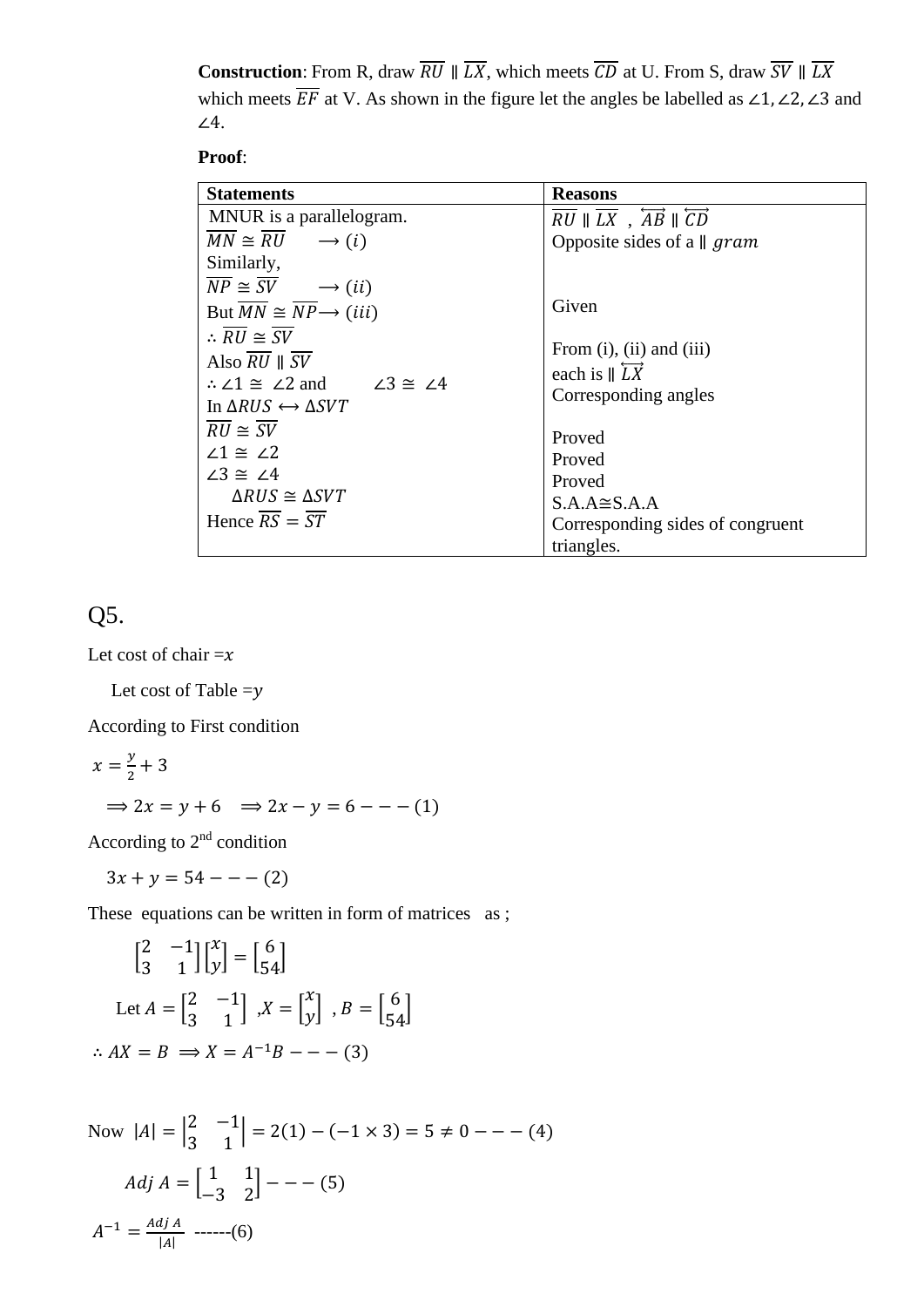**Construction**: From R, draw  $\overline{RU} \parallel \overline{LX}$ , which meets  $\overline{CD}$  at U. From S, draw  $\overline{SV} \parallel \overline{LX}$ which meets  $\overline{EF}$  at V. As shown in the figure let the angles be labelled as ∠1, ∠2, ∠3 and ∠4.

**Proof**:

| <b>Statements</b>                                                                                                                                                                                                                                                                                                                                                                     | <b>Reasons</b>                                                                                                                                                                                            |
|---------------------------------------------------------------------------------------------------------------------------------------------------------------------------------------------------------------------------------------------------------------------------------------------------------------------------------------------------------------------------------------|-----------------------------------------------------------------------------------------------------------------------------------------------------------------------------------------------------------|
| MNUR is a parallelogram.                                                                                                                                                                                                                                                                                                                                                              | $RU \parallel L\overline{X}$ , $\overline{AB} \parallel \overline{CD}$                                                                                                                                    |
| $MN \cong RU \longrightarrow (i)$                                                                                                                                                                                                                                                                                                                                                     | Opposite sides of a $\parallel$ gram                                                                                                                                                                      |
| Similarly,                                                                                                                                                                                                                                                                                                                                                                            |                                                                                                                                                                                                           |
| $\overline{NP} \cong \overline{SV} \longrightarrow (ii)$                                                                                                                                                                                                                                                                                                                              |                                                                                                                                                                                                           |
| But $\overline{MN} \cong \overline{NP} \rightarrow (iii)$                                                                                                                                                                                                                                                                                                                             | Given                                                                                                                                                                                                     |
| $\therefore \overline{RU} \cong \overline{SV}$<br>Also $RU \parallel SV$<br>$\therefore$ $\angle 1 \cong \angle 2$ and $\angle 3 \cong \angle 4$<br>In $\triangle RUS \leftrightarrow \triangle SVT$<br>$\overline{RU} \cong \overline{SV}$<br>$\angle 1 \cong \angle 2$<br>$\angle 3 \cong \angle 4$<br>$\triangle RUS \cong \triangle SVT$<br>Hence $\overline{RS} = \overline{ST}$ | From $(i)$ , $(ii)$ and $(iii)$<br>each is $\parallel \overrightarrow{LX}$<br>Corresponding angles<br>Proved<br>Proved<br>Proved<br>$S.A.A \cong S.A.A$<br>Corresponding sides of congruent<br>triangles. |

Q5.

Let cost of chair  $=x$ 

Let cost of Table  $=y$ 

According to First condition

$$
x = \frac{y}{2} + 3
$$
  
\n
$$
\Rightarrow 2x = y + 6 \Rightarrow 2x - y = 6 - - - (1)
$$

According to 2nd condition

 $3x + y = 54 - - - (2)$ 

These equations can be written in form of matrices as;

$$
\begin{bmatrix} 2 & -1 \\ 3 & 1 \end{bmatrix} \begin{bmatrix} x \\ y \end{bmatrix} = \begin{bmatrix} 6 \\ 54 \end{bmatrix}
$$
  
Let  $A = \begin{bmatrix} 2 & -1 \\ 3 & 1 \end{bmatrix}$ ,  $X = \begin{bmatrix} x \\ y \end{bmatrix}$ ,  $B = \begin{bmatrix} 6 \\ 54 \end{bmatrix}$   
 $\therefore AX = B \implies X = A^{-1}B - - -(-3)$ 

Now 
$$
|A| = \begin{vmatrix} 2 & -1 \\ 3 & 1 \end{vmatrix} = 2(1) - (-1 \times 3) = 5 \neq 0 - - - (4)
$$
  
  
Adj  $A = \begin{bmatrix} 1 & 1 \\ -3 & 2 \end{bmatrix} - - (5)$   
  
 $A^{-1} = \frac{Adj A}{|A|}$  ----(6)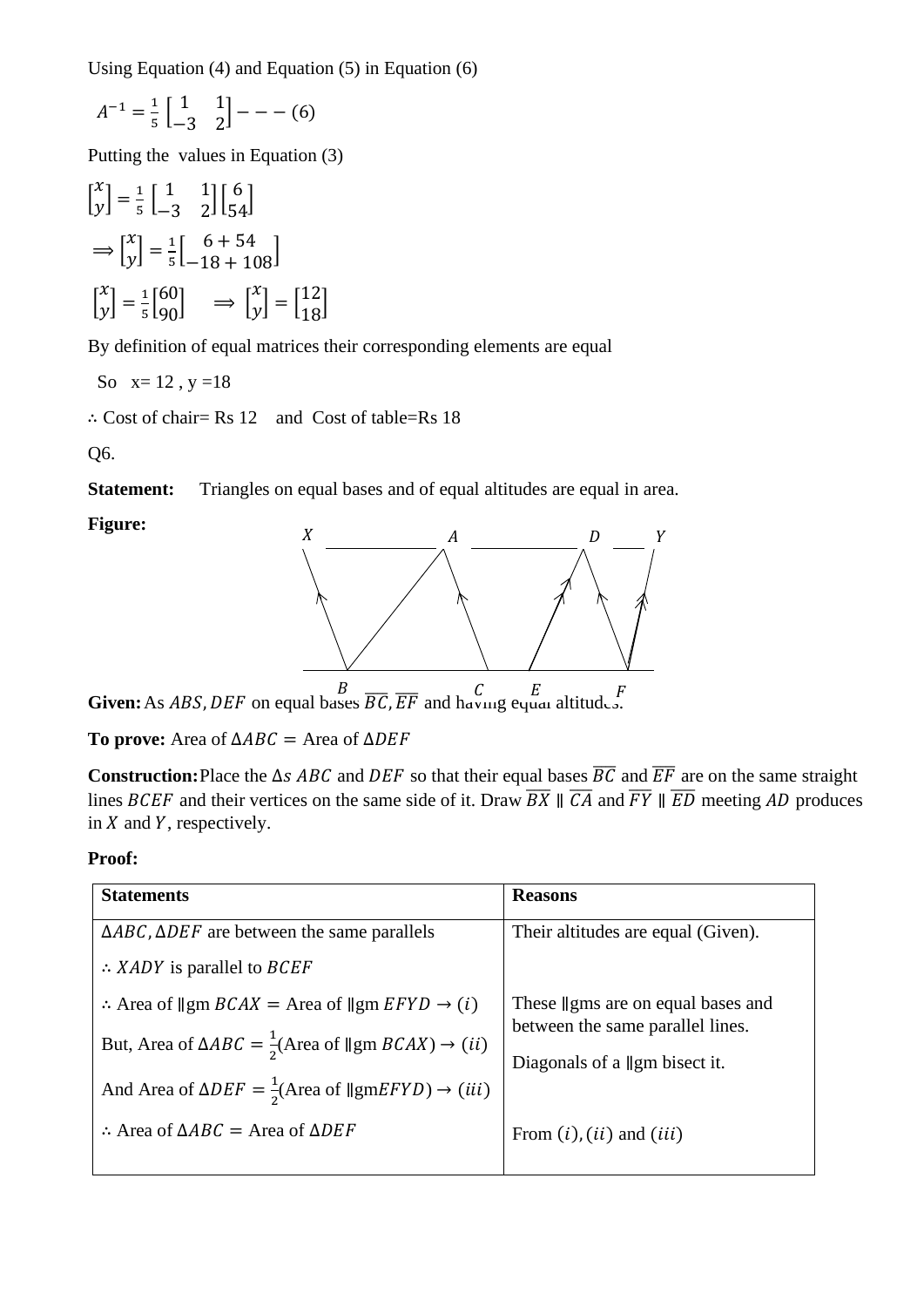Using Equation (4) and Equation (5) in Equation (6)

$$
A^{-1} = \frac{1}{5} \begin{bmatrix} 1 & 1 \\ -3 & 2 \end{bmatrix} - - - (6)
$$

Putting the values in Equation (3)

$$
\begin{aligned}\n\begin{bmatrix} x \\ y \end{bmatrix} &= \frac{1}{5} \begin{bmatrix} 1 & 1 \\ -3 & 2 \end{bmatrix} \begin{bmatrix} 6 \\ 54 \end{bmatrix} \\
\implies \begin{bmatrix} x \\ y \end{bmatrix} &= \frac{1}{5} \begin{bmatrix} 6+54 \\ -18+108 \end{bmatrix} \\
\begin{bmatrix} x \\ y \end{bmatrix} &= \frac{1}{5} \begin{bmatrix} 60 \\ 90 \end{bmatrix} \implies \begin{bmatrix} x \\ y \end{bmatrix} &= \begin{bmatrix} 12 \\ 18 \end{bmatrix}\n\end{aligned}
$$

By definition of equal matrices their corresponding elements are equal

So  $x=12$ ,  $y=18$ 

∴ Cost of chair= Rs 12 and Cost of table=Rs 18

Q6.

**Statement:** Triangles on equal bases and of equal altitudes are equal in area.

#### **Figure:**



**Given:** As *ABS*, *DEF* on equal bases  $\overline{BC}$ ,  $\overline{EF}$  and having equal altitudes.

**To prove:** Area of  $\triangle ABC$  = Area of  $\triangle DEF$ 

**Construction:**Place the  $\Delta s$  ABC and DEF so that their equal bases  $\overline{BC}$  and  $\overline{EF}$  are on the same straight lines BCEF and their vertices on the same side of it. Draw  $\overline{BX} \parallel \overline{CA}$  and  $\overline{FY} \parallel \overline{ED}$  meeting AD produces in  $X$  and  $Y$ , respectively.

#### **Proof:**

| <b>Statements</b>                                                                                      | <b>Reasons</b>                            |
|--------------------------------------------------------------------------------------------------------|-------------------------------------------|
| $\triangle ABC$ , $\triangle DEF$ are between the same parallels                                       | Their altitudes are equal (Given).        |
| $\therefore$ XADY is parallel to BCEF                                                                  |                                           |
| : Area of $\parallel$ gm $BCAX$ = Area of $\parallel$ gm $EFYD \rightarrow (i)$                        | These <i>f</i> gms are on equal bases and |
| But, Area of $\triangle ABC = \frac{1}{2}(\text{Area of } \parallel \text{gm } BCAX) \rightarrow (ii)$ | between the same parallel lines.          |
| And Area of $\triangle DEF = \frac{1}{2}(\text{Area of }   g m E F Y D) \rightarrow (iii)$             | Diagonals of a $\parallel$ gm bisect it.  |
|                                                                                                        |                                           |
| : Area of $\triangle ABC$ = Area of $\triangle DEF$                                                    | From $(i)$ , $(ii)$ and $(iii)$           |
|                                                                                                        |                                           |